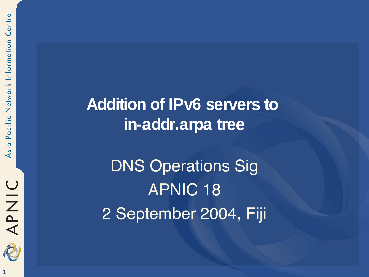

**Addition of IPv6 servers to in-addr.arpa tree**

DNS Operations Sig APNIC 18 2 September 2004, Fiji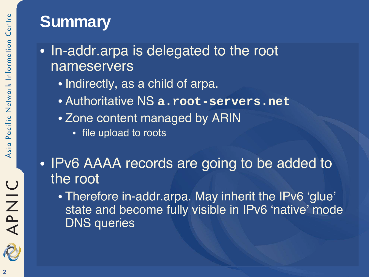#### **Summary**

- In-addr.arpa is delegated to the root nameservers
	- Indirectly, as a child of arpa.
	- Authoritative NS **a.root-servers.net**
	- Zone content managed by ARIN
		- file upload to roots
- IPv6 AAAA records are going to be added to the root
	- Therefore in-addr.arpa. May inherit the IPv6 'glue' state and become fully visible in IPv6 'native' mode DNS queries

**OINAR**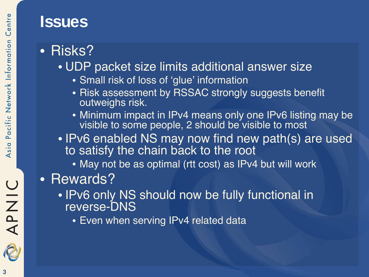#### **Issues**

- Risks?
	- UDP packet size limits additional answer size
		- Small risk of loss of 'glue' information
		- Risk assessment by RSSAC strongly suggests benefit outweighs risk.
		- Minimum impact in IPv4 means only one IPv6 listing may be visible to some people, 2 should be visible to most
	- IPv6 enabled NS may now find new path(s) are used to satisfy the chain back to the root
		- May not be as optimal (rtt cost) as IPv4 but will work
- Rewards?
	- IPv6 only NS should now be fully functional in reverse-DNS
		- Even when serving IPv4 related data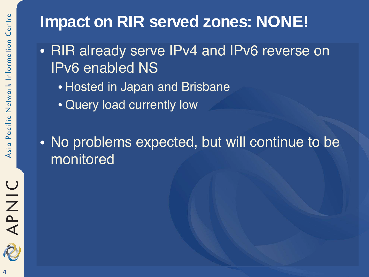### **Impact on RIR served zones: NONE!**

- RIR already serve IPv4 and IPv6 reverse on IPv6 enabled NS
	- Hosted in Japan and Brisbane
	- Query load currently low
- No problems expected, but will continue to be monitored